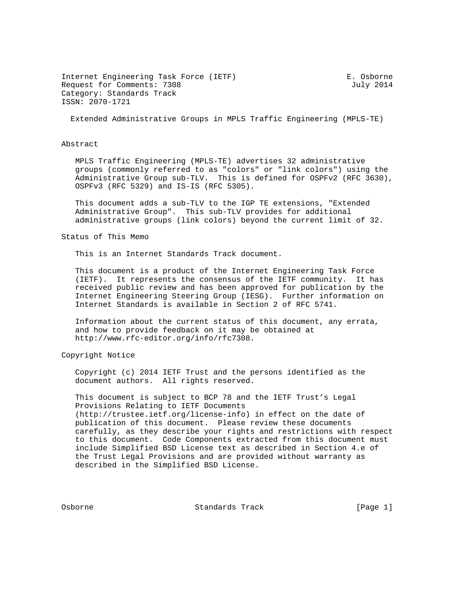Internet Engineering Task Force (IETF) E. Osborne Request for Comments: 7308 July 2014 Category: Standards Track ISSN: 2070-1721

Extended Administrative Groups in MPLS Traffic Engineering (MPLS-TE)

### Abstract

 MPLS Traffic Engineering (MPLS-TE) advertises 32 administrative groups (commonly referred to as "colors" or "link colors") using the Administrative Group sub-TLV. This is defined for OSPFv2 (RFC 3630), OSPFv3 (RFC 5329) and IS-IS (RFC 5305).

 This document adds a sub-TLV to the IGP TE extensions, "Extended Administrative Group". This sub-TLV provides for additional administrative groups (link colors) beyond the current limit of 32.

### Status of This Memo

This is an Internet Standards Track document.

 This document is a product of the Internet Engineering Task Force (IETF). It represents the consensus of the IETF community. It has received public review and has been approved for publication by the Internet Engineering Steering Group (IESG). Further information on Internet Standards is available in Section 2 of RFC 5741.

 Information about the current status of this document, any errata, and how to provide feedback on it may be obtained at http://www.rfc-editor.org/info/rfc7308.

### Copyright Notice

 Copyright (c) 2014 IETF Trust and the persons identified as the document authors. All rights reserved.

 This document is subject to BCP 78 and the IETF Trust's Legal Provisions Relating to IETF Documents (http://trustee.ietf.org/license-info) in effect on the date of publication of this document. Please review these documents carefully, as they describe your rights and restrictions with respect to this document. Code Components extracted from this document must include Simplified BSD License text as described in Section 4.e of the Trust Legal Provisions and are provided without warranty as described in the Simplified BSD License.

Osborne Standards Track [Page 1]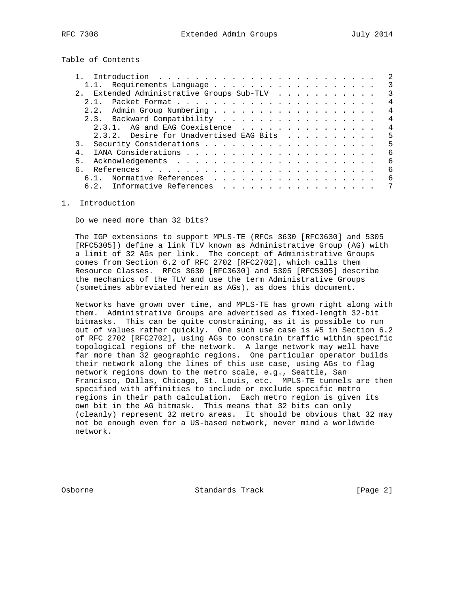Table of Contents

|                                           | -2             |
|-------------------------------------------|----------------|
|                                           | 3              |
| 2. Extended Administrative Groups Sub-TLV | 3              |
| 2 1                                       | 4              |
|                                           | $\overline{4}$ |
| 2.3. Backward Compatibility               | $\overline{4}$ |
| 2.3.1. AG and EAG Coexistence             | $\overline{4}$ |
| 2.3.2. Desire for Unadvertised EAG Bits   | 5              |
|                                           | 5              |
| 4.                                        | - 6            |
| 5.                                        | 6              |
| 6                                         | 6              |
| Normative References<br>$6.1$ .           | -6             |
| 6.2. Informative References               |                |
|                                           |                |

1. Introduction

Do we need more than 32 bits?

 The IGP extensions to support MPLS-TE (RFCs 3630 [RFC3630] and 5305 [RFC5305]) define a link TLV known as Administrative Group (AG) with a limit of 32 AGs per link. The concept of Administrative Groups comes from Section 6.2 of RFC 2702 [RFC2702], which calls them Resource Classes. RFCs 3630 [RFC3630] and 5305 [RFC5305] describe the mechanics of the TLV and use the term Administrative Groups (sometimes abbreviated herein as AGs), as does this document.

 Networks have grown over time, and MPLS-TE has grown right along with them. Administrative Groups are advertised as fixed-length 32-bit bitmasks. This can be quite constraining, as it is possible to run out of values rather quickly. One such use case is #5 in Section 6.2 of RFC 2702 [RFC2702], using AGs to constrain traffic within specific topological regions of the network. A large network may well have far more than 32 geographic regions. One particular operator builds their network along the lines of this use case, using AGs to flag network regions down to the metro scale, e.g., Seattle, San Francisco, Dallas, Chicago, St. Louis, etc. MPLS-TE tunnels are then specified with affinities to include or exclude specific metro regions in their path calculation. Each metro region is given its own bit in the AG bitmask. This means that 32 bits can only (cleanly) represent 32 metro areas. It should be obvious that 32 may not be enough even for a US-based network, never mind a worldwide network.

Osborne Standards Track [Page 2]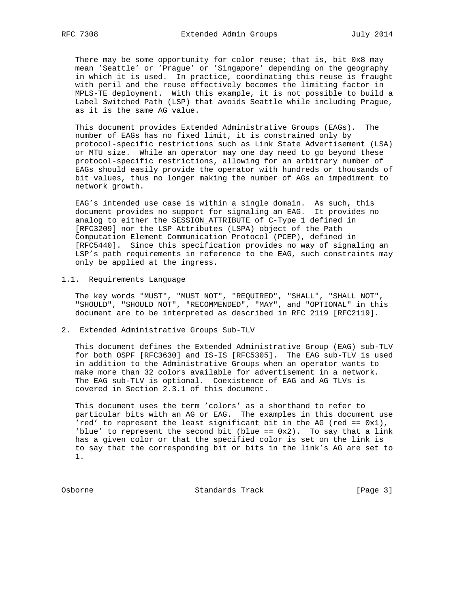There may be some opportunity for color reuse; that is, bit 0x8 may mean 'Seattle' or 'Prague' or 'Singapore' depending on the geography in which it is used. In practice, coordinating this reuse is fraught with peril and the reuse effectively becomes the limiting factor in MPLS-TE deployment. With this example, it is not possible to build a Label Switched Path (LSP) that avoids Seattle while including Prague, as it is the same AG value.

 This document provides Extended Administrative Groups (EAGs). The number of EAGs has no fixed limit, it is constrained only by protocol-specific restrictions such as Link State Advertisement (LSA) or MTU size. While an operator may one day need to go beyond these protocol-specific restrictions, allowing for an arbitrary number of EAGs should easily provide the operator with hundreds or thousands of bit values, thus no longer making the number of AGs an impediment to network growth.

 EAG's intended use case is within a single domain. As such, this document provides no support for signaling an EAG. It provides no analog to either the SESSION\_ATTRIBUTE of C-Type 1 defined in [RFC3209] nor the LSP Attributes (LSPA) object of the Path Computation Element Communication Protocol (PCEP), defined in [RFC5440]. Since this specification provides no way of signaling an LSP's path requirements in reference to the EAG, such constraints may only be applied at the ingress.

### 1.1. Requirements Language

 The key words "MUST", "MUST NOT", "REQUIRED", "SHALL", "SHALL NOT", "SHOULD", "SHOULD NOT", "RECOMMENDED", "MAY", and "OPTIONAL" in this document are to be interpreted as described in RFC 2119 [RFC2119].

2. Extended Administrative Groups Sub-TLV

 This document defines the Extended Administrative Group (EAG) sub-TLV for both OSPF [RFC3630] and IS-IS [RFC5305]. The EAG sub-TLV is used in addition to the Administrative Groups when an operator wants to make more than 32 colors available for advertisement in a network. The EAG sub-TLV is optional. Coexistence of EAG and AG TLVs is covered in Section 2.3.1 of this document.

 This document uses the term 'colors' as a shorthand to refer to particular bits with an AG or EAG. The examples in this document use 'red' to represent the least significant bit in the AG (red ==  $0x1$ ), 'blue' to represent the second bit (blue ==  $0x2$ ). To say that a link has a given color or that the specified color is set on the link is to say that the corresponding bit or bits in the link's AG are set to 1.

Osborne Standards Track [Page 3]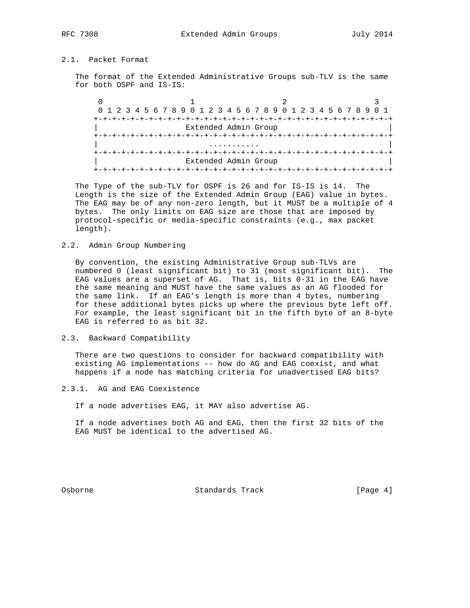# 2.1. Packet Format

 The format of the Extended Administrative Groups sub-TLV is the same for both OSPF and IS-IS:

|                      |                      |  | 0 1 2 3 4 5 6 7 8 9 0 1 2 3 4 5 6 7 8 9 0 1 2 3 4 5 6 7 8 9 0 1 |  |
|----------------------|----------------------|--|-----------------------------------------------------------------|--|
|                      |                      |  |                                                                 |  |
| Extended Admin Group |                      |  |                                                                 |  |
|                      |                      |  |                                                                 |  |
|                      |                      |  |                                                                 |  |
|                      |                      |  |                                                                 |  |
|                      | Extended Admin Group |  |                                                                 |  |
|                      |                      |  |                                                                 |  |

 The Type of the sub-TLV for OSPF is 26 and for IS-IS is 14. The Length is the size of the Extended Admin Group (EAG) value in bytes. The EAG may be of any non-zero length, but it MUST be a multiple of 4 bytes. The only limits on EAG size are those that are imposed by protocol-specific or media-specific constraints (e.g., max packet length).

2.2. Admin Group Numbering

 By convention, the existing Administrative Group sub-TLVs are numbered 0 (least significant bit) to 31 (most significant bit). The EAG values are a superset of AG. That is, bits 0-31 in the EAG have the same meaning and MUST have the same values as an AG flooded for the same link. If an EAG's length is more than 4 bytes, numbering for these additional bytes picks up where the previous byte left off. For example, the least significant bit in the fifth byte of an 8-byte EAG is referred to as bit 32.

2.3. Backward Compatibility

 There are two questions to consider for backward compatibility with existing AG implementations -- how do AG and EAG coexist, and what happens if a node has matching criteria for unadvertised EAG bits?

- 2.3.1. AG and EAG Coexistence
	- If a node advertises EAG, it MAY also advertise AG.

 If a node advertises both AG and EAG, then the first 32 bits of the EAG MUST be identical to the advertised AG.

Osborne Standards Track [Page 4]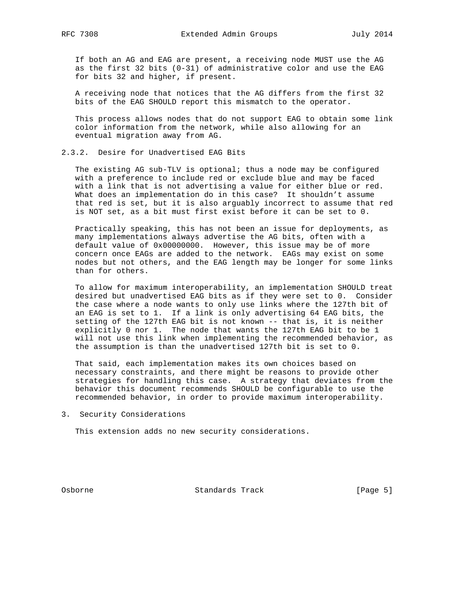If both an AG and EAG are present, a receiving node MUST use the AG as the first 32 bits (0-31) of administrative color and use the EAG for bits 32 and higher, if present.

 A receiving node that notices that the AG differs from the first 32 bits of the EAG SHOULD report this mismatch to the operator.

 This process allows nodes that do not support EAG to obtain some link color information from the network, while also allowing for an eventual migration away from AG.

### 2.3.2. Desire for Unadvertised EAG Bits

 The existing AG sub-TLV is optional; thus a node may be configured with a preference to include red or exclude blue and may be faced with a link that is not advertising a value for either blue or red. What does an implementation do in this case? It shouldn't assume that red is set, but it is also arguably incorrect to assume that red is NOT set, as a bit must first exist before it can be set to 0.

 Practically speaking, this has not been an issue for deployments, as many implementations always advertise the AG bits, often with a default value of 0x00000000. However, this issue may be of more concern once EAGs are added to the network. EAGs may exist on some nodes but not others, and the EAG length may be longer for some links than for others.

 To allow for maximum interoperability, an implementation SHOULD treat desired but unadvertised EAG bits as if they were set to 0. Consider the case where a node wants to only use links where the 127th bit of an EAG is set to 1. If a link is only advertising 64 EAG bits, the setting of the 127th EAG bit is not known -- that is, it is neither explicitly 0 nor 1. The node that wants the 127th EAG bit to be 1 will not use this link when implementing the recommended behavior, as the assumption is than the unadvertised 127th bit is set to 0.

 That said, each implementation makes its own choices based on necessary constraints, and there might be reasons to provide other strategies for handling this case. A strategy that deviates from the behavior this document recommends SHOULD be configurable to use the recommended behavior, in order to provide maximum interoperability.

3. Security Considerations

This extension adds no new security considerations.

Osborne Standards Track [Page 5]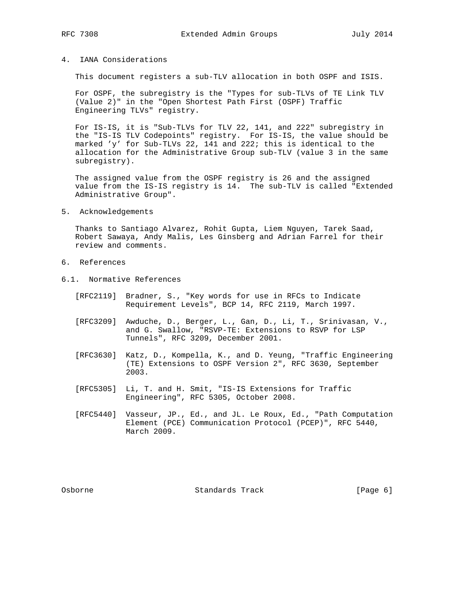### 4. IANA Considerations

This document registers a sub-TLV allocation in both OSPF and ISIS.

 For OSPF, the subregistry is the "Types for sub-TLVs of TE Link TLV (Value 2)" in the "Open Shortest Path First (OSPF) Traffic Engineering TLVs" registry.

 For IS-IS, it is "Sub-TLVs for TLV 22, 141, and 222" subregistry in the "IS-IS TLV Codepoints" registry. For IS-IS, the value should be marked 'y' for Sub-TLVs 22, 141 and 222; this is identical to the allocation for the Administrative Group sub-TLV (value 3 in the same subregistry).

 The assigned value from the OSPF registry is 26 and the assigned value from the IS-IS registry is 14. The sub-TLV is called "Extended Administrative Group".

5. Acknowledgements

 Thanks to Santiago Alvarez, Rohit Gupta, Liem Nguyen, Tarek Saad, Robert Sawaya, Andy Malis, Les Ginsberg and Adrian Farrel for their review and comments.

- 6. References
- 6.1. Normative References
	- [RFC2119] Bradner, S., "Key words for use in RFCs to Indicate Requirement Levels", BCP 14, RFC 2119, March 1997.
	- [RFC3209] Awduche, D., Berger, L., Gan, D., Li, T., Srinivasan, V., and G. Swallow, "RSVP-TE: Extensions to RSVP for LSP Tunnels", RFC 3209, December 2001.
	- [RFC3630] Katz, D., Kompella, K., and D. Yeung, "Traffic Engineering (TE) Extensions to OSPF Version 2", RFC 3630, September 2003.
	- [RFC5305] Li, T. and H. Smit, "IS-IS Extensions for Traffic Engineering", RFC 5305, October 2008.
	- [RFC5440] Vasseur, JP., Ed., and JL. Le Roux, Ed., "Path Computation Element (PCE) Communication Protocol (PCEP)", RFC 5440, March 2009.

Osborne Standards Track [Page 6]